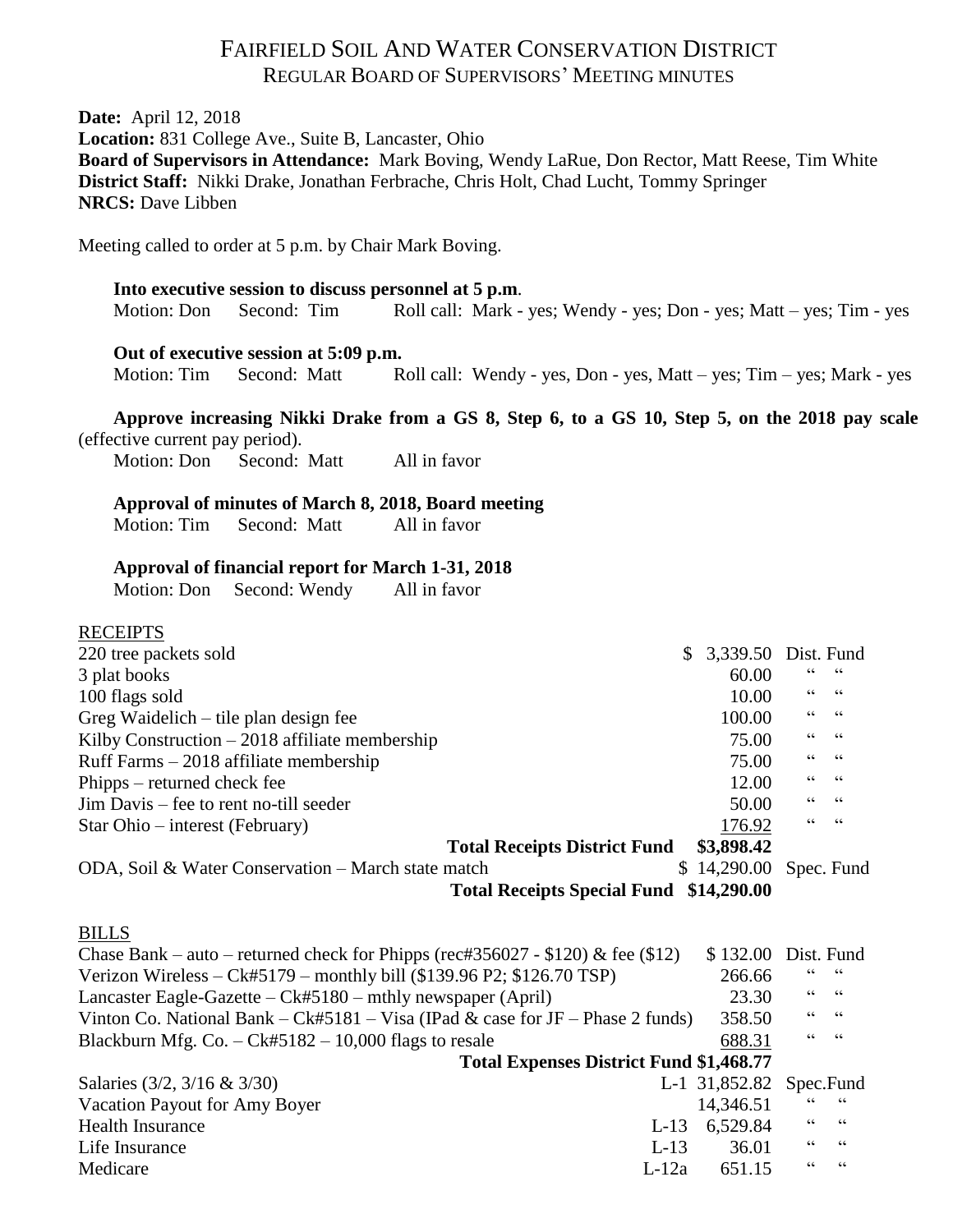# FAIRFIELD SOIL AND WATER CONSERVATION DISTRICT REGULAR BOARD OF SUPERVISORS' MEETING MINUTES

**Date:** April 12, 2018

**Location:** 831 College Ave., Suite B, Lancaster, Ohio

**Board of Supervisors in Attendance:** Mark Boving, Wendy LaRue, Don Rector, Matt Reese, Tim White **District Staff:** Nikki Drake, Jonathan Ferbrache, Chris Holt, Chad Lucht, Tommy Springer **NRCS:** Dave Libben

Meeting called to order at 5 p.m. by Chair Mark Boving.

## **Into executive session to discuss personnel at 5 p.m**. Motion: Don Second: Tim Roll call: Mark - yes; Wendy - yes; Don - yes; Matt – yes; Tim - yes

#### **Out of executive session at 5:09 p.m.**

Motion: Tim Second: Matt Roll call: Wendy - yes, Don - yes, Matt – yes; Tim – yes; Mark - yes

**Approve increasing Nikki Drake from a GS 8, Step 6, to a GS 10, Step 5, on the 2018 pay scale**  (effective current pay period).

Motion: Don Second: Matt All in favor

#### **Approval of minutes of March 8, 2018, Board meeting**

Motion: Tim Second: Matt All in favor

#### **Approval of financial report for March 1-31, 2018**

Motion: Don Second: Wendy All in favor

### **RECEIPTS**

| 220 tree packets sold                                                           | \$<br>3,339.50 |    | Dist. Fund               |
|---------------------------------------------------------------------------------|----------------|----|--------------------------|
| 3 plat books                                                                    | 60.00          |    |                          |
| 100 flags sold                                                                  | 10.00          | 66 | $\mathsf{G}\,\mathsf{G}$ |
| Greg Waidelich – tile plan design fee                                           | 100.00         | 66 | $\,$ 6 6 $\,$            |
| Kilby Construction $-2018$ affiliate membership                                 | 75.00          | 66 | 66                       |
| Ruff Farms $-2018$ affiliate membership                                         | 75.00          | 66 | $\mathsf{G}\,\mathsf{G}$ |
| Phipps – returned check fee                                                     | 12.00          | 66 | $\textsf{G}\,\textsf{G}$ |
| Jim Davis – fee to rent no-till seeder                                          | 50.00          | "  | $\mathsf{G}\,\mathsf{G}$ |
| Star Ohio – interest (February)                                                 | 176.92         | 66 | 66                       |
| <b>Total Receipts District Fund</b>                                             | \$3,898.42     |    |                          |
| ODA, Soil & Water Conservation – March state match                              | \$14,290.00    |    | Spec. Fund               |
| <b>Total Receipts Special Fund \$14,290.00</b>                                  |                |    |                          |
| <b>BILLS</b>                                                                    |                |    |                          |
| Chase Bank – auto – returned check for Phipps (rec#356027 - \$120) & fee (\$12) | \$132.00       |    | Dist. Fund               |
| Verizon Wireless – $Ck#5179$ – monthly bill (\$139.96 P2; \$126.70 TSP)         | 266.66         |    | 66                       |
| Lancaster Eagle-Gazette $-Ck#5180$ – mthly newspaper (April)                    | 23.30          | 66 | $\mathsf{G}\,\mathsf{G}$ |
| Vinton Co. National Bank – Ck#5181 – Visa (IPad & case for JF – Phase 2 funds)  | 358.50         |    | $\textsf{G}\,\textsf{G}$ |
| Blackburn Mfg. Co. $-Ck#5182 - 10,000$ flags to resale                          | 688.31         | 66 | $\,$ 6 6 $\,$            |
| <b>Total Expenses District Fund \$1,468.77</b>                                  |                |    |                          |
| Salaries (3/2, 3/16 & 3/30)                                                     | L-1 31,852.82  |    | Spec.Fund                |
| Vacation Payout for Amy Boyer                                                   | 14,346.51      |    |                          |
| <b>Health Insurance</b><br>$L-13$                                               | 6,529.84       | "  | $\mathsf{G}\,\mathsf{G}$ |
| $L-13$<br>Life Insurance                                                        | 36.01          | 66 | $\zeta\,\zeta$           |
| Medicare<br>$L-12a$                                                             | 651.15         | 66 | $\textsf{G}\,\textsf{G}$ |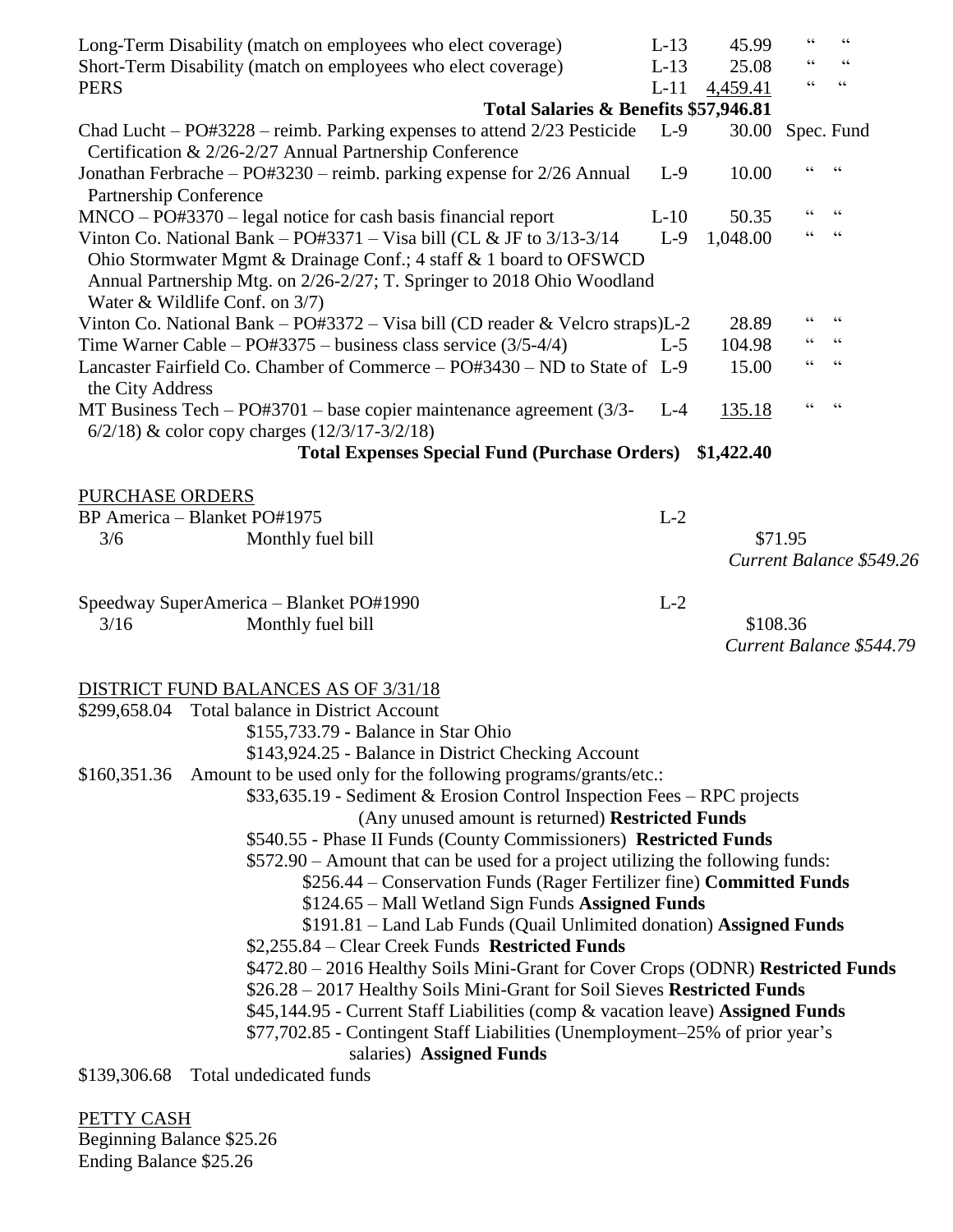|                               | Long-Term Disability (match on employees who elect coverage)<br>Short-Term Disability (match on employees who elect coverage)                                                                                                                             | $L-13$<br>$L-13$ | 45.99<br>25.08 | 66<br>66        | $\zeta$ $\zeta$<br>$\textsf{G}\,\textsf{G}$ |  |
|-------------------------------|-----------------------------------------------------------------------------------------------------------------------------------------------------------------------------------------------------------------------------------------------------------|------------------|----------------|-----------------|---------------------------------------------|--|
| <b>PERS</b>                   |                                                                                                                                                                                                                                                           | $L-11$           | 4,459.41       | $\zeta$ $\zeta$ | $\textsf{G}\,\textsf{G}$                    |  |
|                               | Total Salaries & Benefits \$57,946.81                                                                                                                                                                                                                     |                  |                |                 |                                             |  |
|                               | Chad Lucht – $PO#3228$ – reimb. Parking expenses to attend $2/23$ Pesticide<br>Certification & 2/26-2/27 Annual Partnership Conference                                                                                                                    | $L-9$            | 30.00          |                 | Spec. Fund                                  |  |
| <b>Partnership Conference</b> | Jonathan Ferbrache – PO#3230 – reimb. parking expense for 2/26 Annual                                                                                                                                                                                     | $L-9$            | 10.00          |                 | $\zeta$ $\zeta$                             |  |
|                               | $MNCO - PO#3370 - legal notice for cash basis financial report$                                                                                                                                                                                           | $L-10$           | 50.35          | 66              | $\textsf{G}\,\textsf{G}$                    |  |
|                               | Vinton Co. National Bank – PO#3371 – Visa bill (CL & JF to $3/13-3/14$<br>Ohio Stormwater Mgmt & Drainage Conf.; 4 staff & 1 board to OFSWCD<br>Annual Partnership Mtg. on 2/26-2/27; T. Springer to 2018 Ohio Woodland<br>Water & Wildlife Conf. on 3/7) | $L-9$            | 1,048.00       | 66              | $\mathsf{G}\,\mathsf{G}$                    |  |
|                               | Vinton Co. National Bank - PO#3372 - Visa bill (CD reader & Velcro straps)L-2                                                                                                                                                                             |                  | 28.89          | 66              | $\textsf{G}\,\textsf{G}$                    |  |
|                               | Time Warner Cable – $PO#3375$ – business class service $(3/5-4/4)$                                                                                                                                                                                        | $L-5$            | 104.98         |                 | $\mathsf{G}\,\mathsf{G}$                    |  |
| the City Address              | Lancaster Fairfield Co. Chamber of Commerce – PO#3430 – ND to State of L-9                                                                                                                                                                                |                  | 15.00          | $\epsilon$      | $\textsf{G}\,\textsf{G}$                    |  |
|                               | MT Business Tech $-$ PO#3701 $-$ base copier maintenance agreement (3/3- L-4<br>$6/2/18$ ) & color copy charges $(12/3/17-3/2/18)$                                                                                                                        |                  | 135.18         |                 | $\zeta \zeta$                               |  |
|                               | Total Expenses Special Fund (Purchase Orders) \$1,422.40                                                                                                                                                                                                  |                  |                |                 |                                             |  |
| PURCHASE ORDERS               |                                                                                                                                                                                                                                                           |                  |                |                 |                                             |  |
|                               | BP America - Blanket PO#1975                                                                                                                                                                                                                              | $L-2$            |                |                 |                                             |  |
| 3/6                           | Monthly fuel bill                                                                                                                                                                                                                                         |                  |                | \$71.95         |                                             |  |
|                               |                                                                                                                                                                                                                                                           |                  |                |                 | Current Balance \$549.26                    |  |
|                               | Speedway SuperAmerica - Blanket PO#1990                                                                                                                                                                                                                   | $L-2$            |                |                 |                                             |  |
| 3/16                          | Monthly fuel bill                                                                                                                                                                                                                                         |                  | \$108.36       |                 |                                             |  |
|                               |                                                                                                                                                                                                                                                           |                  |                |                 | Current Balance \$544.79                    |  |
|                               | <b>DISTRICT FUND BALANCES AS OF 3/31/18</b>                                                                                                                                                                                                               |                  |                |                 |                                             |  |
|                               | \$299,658.04 Total balance in District Account                                                                                                                                                                                                            |                  |                |                 |                                             |  |
|                               | \$155,733.79 - Balance in Star Ohio                                                                                                                                                                                                                       |                  |                |                 |                                             |  |
|                               | \$143,924.25 - Balance in District Checking Account                                                                                                                                                                                                       |                  |                |                 |                                             |  |
| \$160,351.36                  | Amount to be used only for the following programs/grants/etc.:                                                                                                                                                                                            |                  |                |                 |                                             |  |
|                               | \$33,635.19 - Sediment & Erosion Control Inspection Fees – RPC projects                                                                                                                                                                                   |                  |                |                 |                                             |  |
|                               | (Any unused amount is returned) Restricted Funds                                                                                                                                                                                                          |                  |                |                 |                                             |  |
|                               | \$540.55 - Phase II Funds (County Commissioners) Restricted Funds                                                                                                                                                                                         |                  |                |                 |                                             |  |
|                               | \$572.90 – Amount that can be used for a project utilizing the following funds:                                                                                                                                                                           |                  |                |                 |                                             |  |
|                               | \$256.44 – Conservation Funds (Rager Fertilizer fine) Committed Funds                                                                                                                                                                                     |                  |                |                 |                                             |  |
|                               | \$124.65 – Mall Wetland Sign Funds Assigned Funds                                                                                                                                                                                                         |                  |                |                 |                                             |  |
|                               | \$191.81 - Land Lab Funds (Quail Unlimited donation) Assigned Funds                                                                                                                                                                                       |                  |                |                 |                                             |  |
|                               | \$2,255.84 – Clear Creek Funds Restricted Funds                                                                                                                                                                                                           |                  |                |                 |                                             |  |
|                               | \$472.80 - 2016 Healthy Soils Mini-Grant for Cover Crops (ODNR) Restricted Funds                                                                                                                                                                          |                  |                |                 |                                             |  |
|                               | \$26.28 - 2017 Healthy Soils Mini-Grant for Soil Sieves Restricted Funds                                                                                                                                                                                  |                  |                |                 |                                             |  |
|                               | \$45,144.95 - Current Staff Liabilities (comp & vacation leave) Assigned Funds                                                                                                                                                                            |                  |                |                 |                                             |  |
|                               | \$77,702.85 - Contingent Staff Liabilities (Unemployment–25% of prior year's                                                                                                                                                                              |                  |                |                 |                                             |  |
|                               | salaries) Assigned Funds                                                                                                                                                                                                                                  |                  |                |                 |                                             |  |
| \$139,306.68                  | Total undedicated funds                                                                                                                                                                                                                                   |                  |                |                 |                                             |  |
|                               |                                                                                                                                                                                                                                                           |                  |                |                 |                                             |  |

PETTY CASH Beginning Balance \$25.26 Ending Balance \$25.26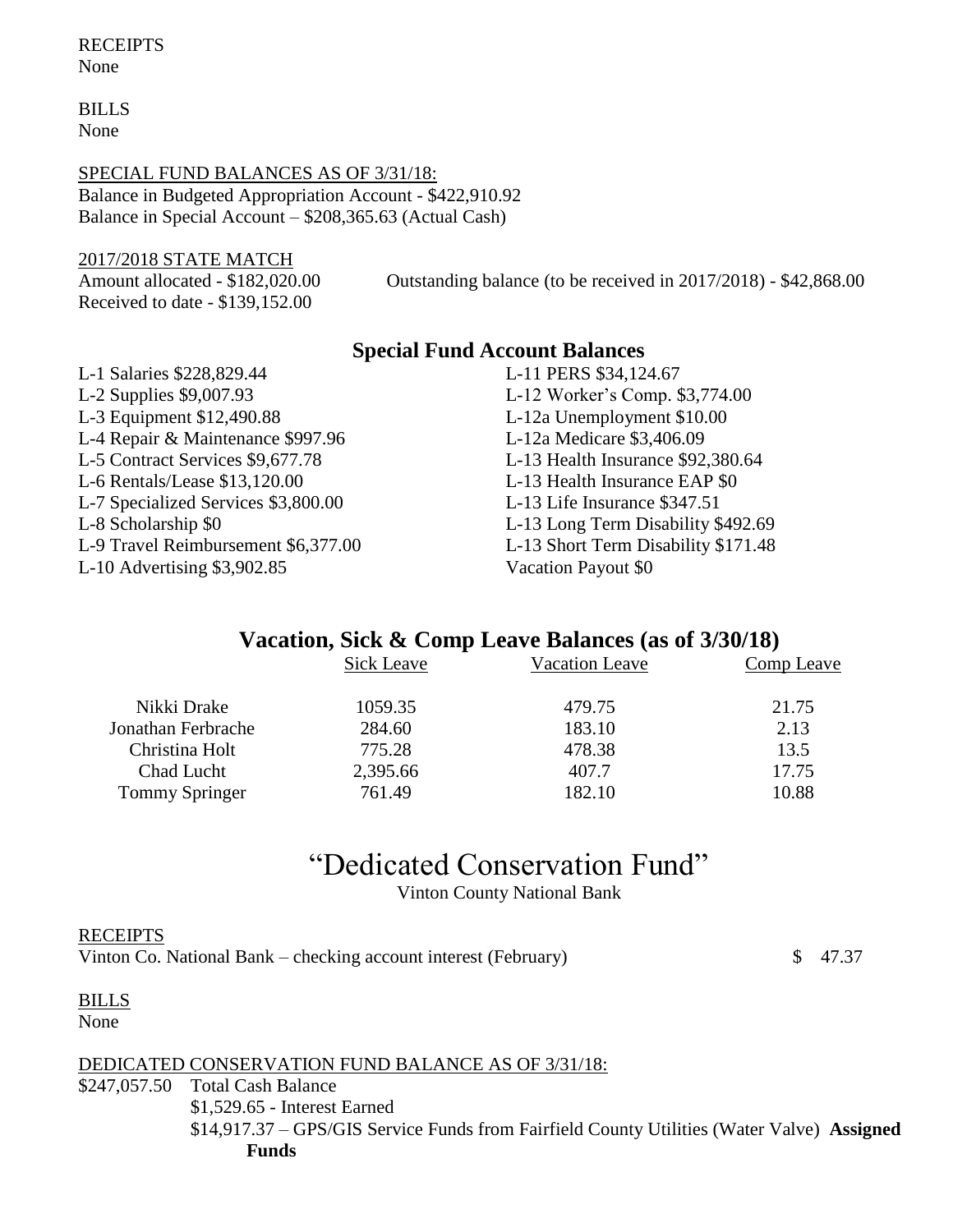BILLS None

#### SPECIAL FUND BALANCES AS OF 3/31/18:

Balance in Budgeted Appropriation Account - \$422,910.92 Balance in Special Account – \$208,365.63 (Actual Cash)

#### 2017/2018 STATE MATCH

Received to date - \$139,152.00

Amount allocated - \$182,020.00 Outstanding balance (to be received in 2017/2018) - \$42,868.00

## **Special Fund Account Balances**

L-1 Salaries \$228,829.44 L-11 PERS \$34,124.67 L-2 Supplies \$9,007.93 L-12 Worker's Comp. \$3,774.00 L-3 Equipment \$12,490.88 L-12a Unemployment \$10.00 L-4 Repair & Maintenance \$997.96 L-12a Medicare \$3,406.09 L-5 Contract Services \$9,677.78 L-13 Health Insurance \$92,380.64 L-6 Rentals/Lease \$13,120.00 L-13 Health Insurance EAP \$0 L-7 Specialized Services \$3,800.00 L-13 Life Insurance \$347.51 L-8 Scholarship \$0 L-13 Long Term Disability \$492.69 L-9 Travel Reimbursement \$6,377.00 L-13 Short Term Disability \$171.48 L-10 Advertising \$3,902.85 Vacation Payout \$0

# **Vacation, Sick & Comp Leave Balances (as of 3/30/18)**

|                                                    | Comp Leave |
|----------------------------------------------------|------------|
| 1059.35<br>21.75<br>Nikki Drake<br>479.75          |            |
| 2.13<br>183.10<br>284.60<br>Jonathan Ferbrache     |            |
| 775.28<br>Christina Holt<br>13.5<br>478.38         |            |
| 17.75<br>2,395.66<br>407.7<br>Chad Lucht           |            |
| 761.49<br>10.88<br><b>Tommy Springer</b><br>182.10 |            |

# "Dedicated Conservation Fund"

Vinton County National Bank

## **RECEIPTS** Vinton Co. National Bank – checking account interest (February)  $\qquad$  \$ 47.37

BILLS None

DEDICATED CONSERVATION FUND BALANCE AS OF 3/31/18: \$247,057.50 Total Cash Balance \$1,529.65 - Interest Earned \$14,917.37 – GPS/GIS Service Funds from Fairfield County Utilities (Water Valve) **Assigned Funds**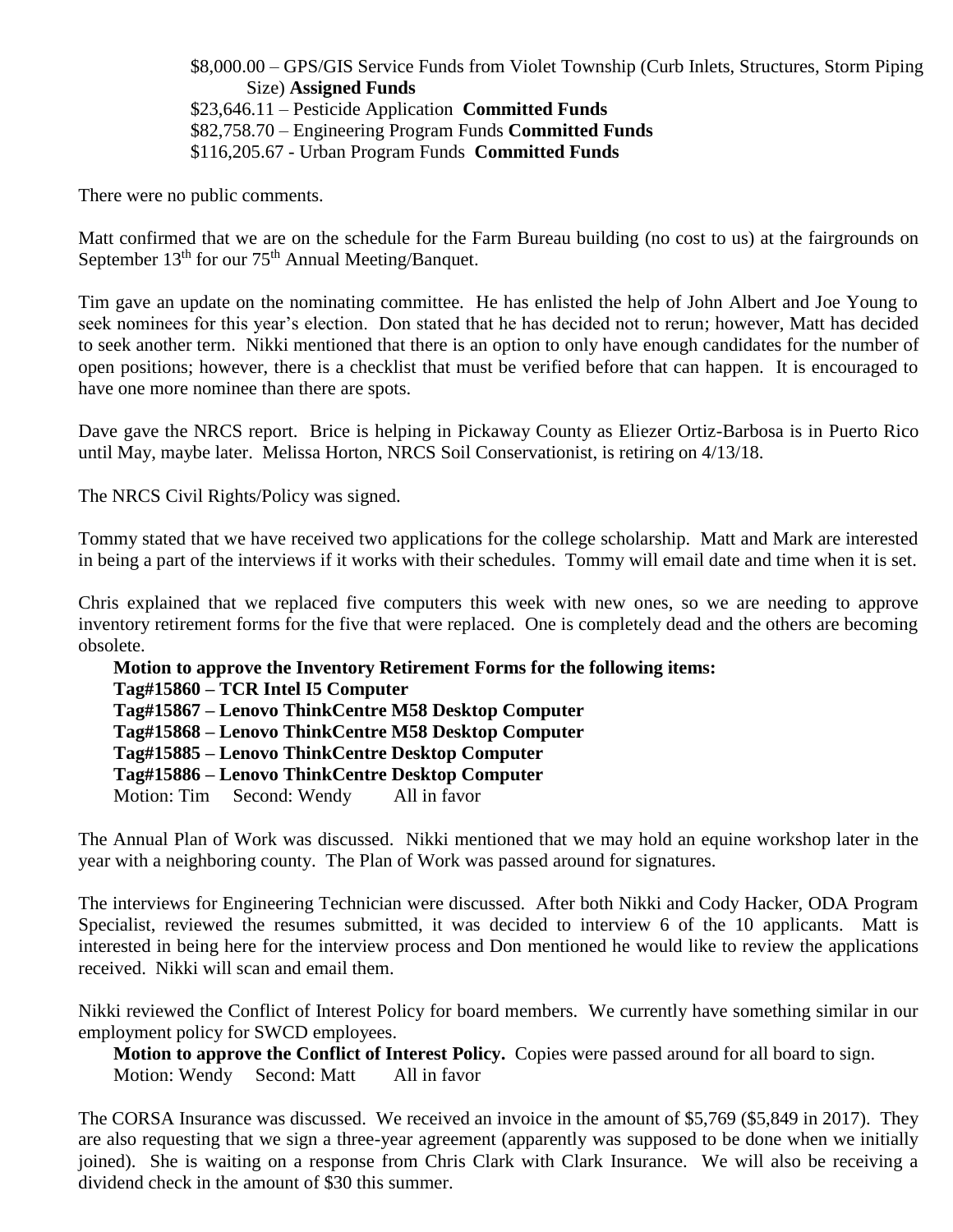\$8,000.00 – GPS/GIS Service Funds from Violet Township (Curb Inlets, Structures, Storm Piping Size) **Assigned Funds** \$23,646.11 – Pesticide Application **Committed Funds** \$82,758.70 – Engineering Program Funds **Committed Funds** \$116,205.67 - Urban Program Funds **Committed Funds**

There were no public comments.

Matt confirmed that we are on the schedule for the Farm Bureau building (no cost to us) at the fairgrounds on September 13<sup>th</sup> for our 75<sup>th</sup> Annual Meeting/Banquet.

Tim gave an update on the nominating committee. He has enlisted the help of John Albert and Joe Young to seek nominees for this year's election. Don stated that he has decided not to rerun; however, Matt has decided to seek another term. Nikki mentioned that there is an option to only have enough candidates for the number of open positions; however, there is a checklist that must be verified before that can happen. It is encouraged to have one more nominee than there are spots.

Dave gave the NRCS report. Brice is helping in Pickaway County as Eliezer Ortiz-Barbosa is in Puerto Rico until May, maybe later. Melissa Horton, NRCS Soil Conservationist, is retiring on 4/13/18.

The NRCS Civil Rights/Policy was signed.

Tommy stated that we have received two applications for the college scholarship. Matt and Mark are interested in being a part of the interviews if it works with their schedules. Tommy will email date and time when it is set.

Chris explained that we replaced five computers this week with new ones, so we are needing to approve inventory retirement forms for the five that were replaced. One is completely dead and the others are becoming obsolete.

**Motion to approve the Inventory Retirement Forms for the following items: Tag#15860 – TCR Intel I5 Computer Tag#15867 – Lenovo ThinkCentre M58 Desktop Computer Tag#15868 – Lenovo ThinkCentre M58 Desktop Computer Tag#15885 – Lenovo ThinkCentre Desktop Computer Tag#15886 – Lenovo ThinkCentre Desktop Computer** Motion: Tim Second: Wendy All in favor

The Annual Plan of Work was discussed. Nikki mentioned that we may hold an equine workshop later in the year with a neighboring county. The Plan of Work was passed around for signatures.

The interviews for Engineering Technician were discussed. After both Nikki and Cody Hacker, ODA Program Specialist, reviewed the resumes submitted, it was decided to interview 6 of the 10 applicants. Matt is interested in being here for the interview process and Don mentioned he would like to review the applications received. Nikki will scan and email them.

Nikki reviewed the Conflict of Interest Policy for board members. We currently have something similar in our employment policy for SWCD employees.

**Motion to approve the Conflict of Interest Policy.** Copies were passed around for all board to sign. Motion: Wendy Second: Matt All in favor

The CORSA Insurance was discussed. We received an invoice in the amount of \$5,769 (\$5,849 in 2017). They are also requesting that we sign a three-year agreement (apparently was supposed to be done when we initially joined). She is waiting on a response from Chris Clark with Clark Insurance. We will also be receiving a dividend check in the amount of \$30 this summer.